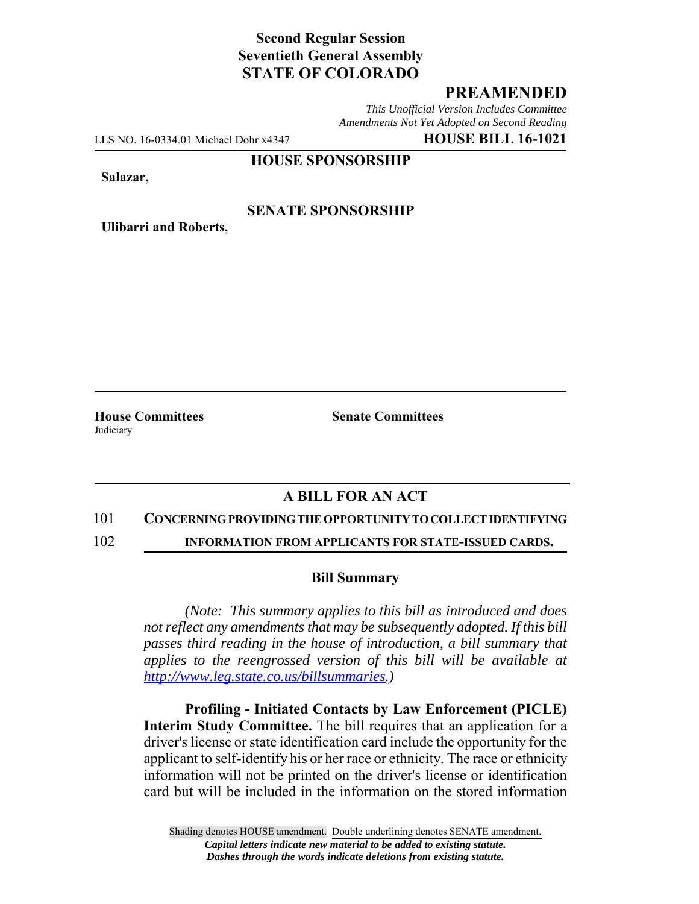# **Second Regular Session Seventieth General Assembly STATE OF COLORADO**

### **PREAMENDED**

*This Unofficial Version Includes Committee Amendments Not Yet Adopted on Second Reading*

LLS NO. 16-0334.01 Michael Dohr x4347 **HOUSE BILL 16-1021**

#### **HOUSE SPONSORSHIP**

**Salazar,**

### **SENATE SPONSORSHIP**

**Ulibarri and Roberts,**

**Judiciary** 

**House Committees Senate Committees** 

# **A BILL FOR AN ACT**

#### 101 **CONCERNING PROVIDING THE OPPORTUNITY TO COLLECT IDENTIFYING**

102 **INFORMATION FROM APPLICANTS FOR STATE-ISSUED CARDS.**

#### **Bill Summary**

*(Note: This summary applies to this bill as introduced and does not reflect any amendments that may be subsequently adopted. If this bill passes third reading in the house of introduction, a bill summary that applies to the reengrossed version of this bill will be available at http://www.leg.state.co.us/billsummaries.)*

**Profiling - Initiated Contacts by Law Enforcement (PICLE) Interim Study Committee.** The bill requires that an application for a driver's license or state identification card include the opportunity for the applicant to self-identify his or her race or ethnicity. The race or ethnicity information will not be printed on the driver's license or identification card but will be included in the information on the stored information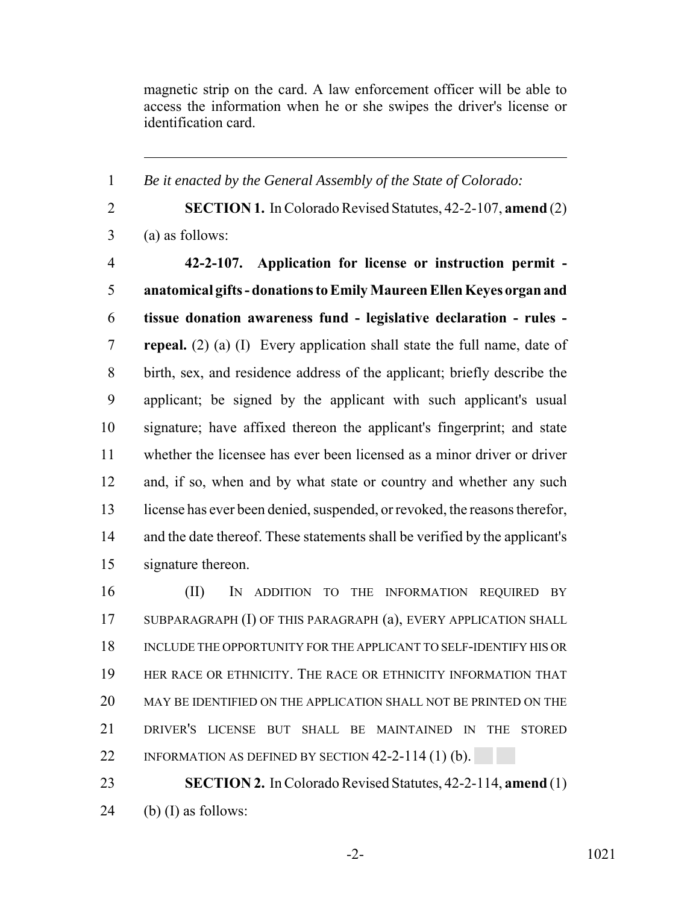magnetic strip on the card. A law enforcement officer will be able to access the information when he or she swipes the driver's license or identification card.

*Be it enacted by the General Assembly of the State of Colorado:*

 **SECTION 1.** In Colorado Revised Statutes, 42-2-107, **amend** (2) (a) as follows: **42-2-107. Application for license or instruction permit - anatomical gifts - donations to Emily Maureen Ellen Keyes organ and tissue donation awareness fund - legislative declaration - rules - repeal.** (2) (a) (I) Every application shall state the full name, date of birth, sex, and residence address of the applicant; briefly describe the applicant; be signed by the applicant with such applicant's usual signature; have affixed thereon the applicant's fingerprint; and state whether the licensee has ever been licensed as a minor driver or driver 12 and, if so, when and by what state or country and whether any such license has ever been denied, suspended, or revoked, the reasons therefor, and the date thereof. These statements shall be verified by the applicant's signature thereon.

 (II) IN ADDITION TO THE INFORMATION REQUIRED BY SUBPARAGRAPH (I) OF THIS PARAGRAPH (a), EVERY APPLICATION SHALL INCLUDE THE OPPORTUNITY FOR THE APPLICANT TO SELF-IDENTIFY HIS OR HER RACE OR ETHNICITY. THE RACE OR ETHNICITY INFORMATION THAT MAY BE IDENTIFIED ON THE APPLICATION SHALL NOT BE PRINTED ON THE DRIVER'S LICENSE BUT SHALL BE MAINTAINED IN THE STORED 22 INFORMATION AS DEFINED BY SECTION 42-2-114 (1) (b).

 **SECTION 2.** In Colorado Revised Statutes, 42-2-114, **amend** (1) 24 (b) (I) as follows: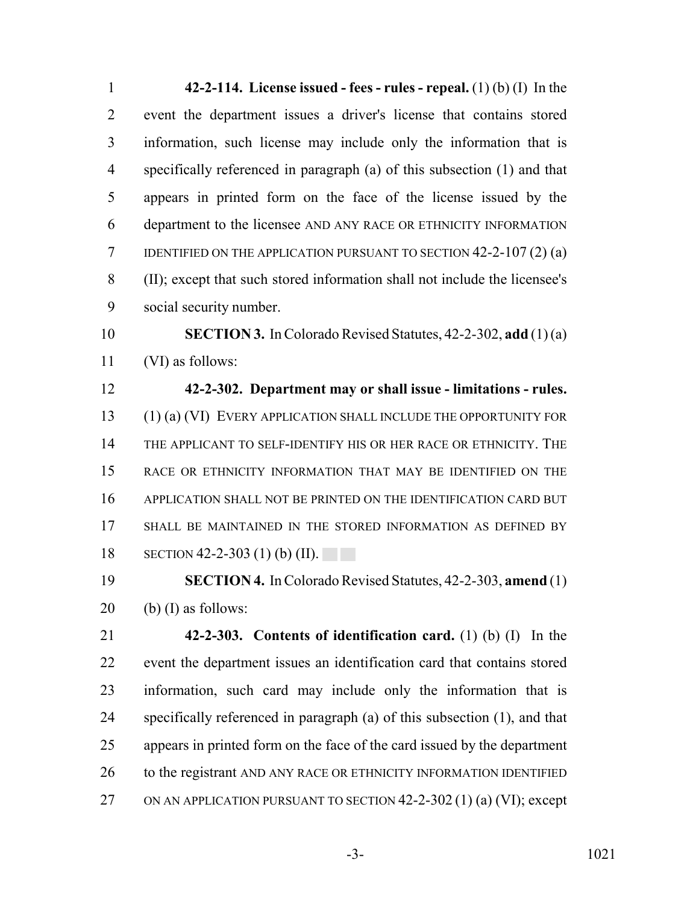**42-2-114. License issued - fees - rules - repeal.** (1) (b) (I) In the event the department issues a driver's license that contains stored information, such license may include only the information that is specifically referenced in paragraph (a) of this subsection (1) and that appears in printed form on the face of the license issued by the department to the licensee AND ANY RACE OR ETHNICITY INFORMATION IDENTIFIED ON THE APPLICATION PURSUANT TO SECTION 42-2-107 (2) (a) (II); except that such stored information shall not include the licensee's social security number.

 **SECTION 3.** In Colorado Revised Statutes, 42-2-302, **add** (1) (a) (VI) as follows:

 **42-2-302. Department may or shall issue - limitations - rules.** (1) (a) (VI) EVERY APPLICATION SHALL INCLUDE THE OPPORTUNITY FOR THE APPLICANT TO SELF-IDENTIFY HIS OR HER RACE OR ETHNICITY. THE RACE OR ETHNICITY INFORMATION THAT MAY BE IDENTIFIED ON THE APPLICATION SHALL NOT BE PRINTED ON THE IDENTIFICATION CARD BUT 17 SHALL BE MAINTAINED IN THE STORED INFORMATION AS DEFINED BY SECTION 42-2-303 (1) (b) (II).

 **SECTION 4.** In Colorado Revised Statutes, 42-2-303, **amend** (1) 20 (b) (I) as follows:

 **42-2-303. Contents of identification card.** (1) (b) (I) In the event the department issues an identification card that contains stored information, such card may include only the information that is specifically referenced in paragraph (a) of this subsection (1), and that appears in printed form on the face of the card issued by the department 26 to the registrant AND ANY RACE OR ETHNICITY INFORMATION IDENTIFIED 27 ON AN APPLICATION PURSUANT TO SECTION 42-2-302 (1) (a) (VI); except